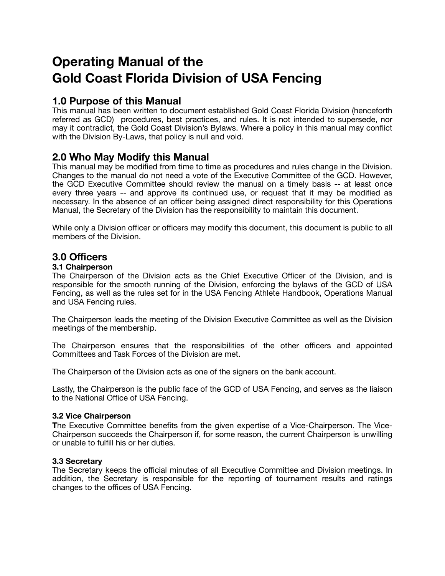# **Operating Manual of the Gold Coast Florida Division of USA Fencing**

# **1.0 Purpose of this Manual**

This manual has been written to document established Gold Coast Florida Division (henceforth referred as GCD) procedures, best practices, and rules. It is not intended to supersede, nor may it contradict, the Gold Coast Division's Bylaws. Where a policy in this manual may conflict with the Division By-Laws, that policy is null and void.

# **2.0 Who May Modify this Manual**

This manual may be modified from time to time as procedures and rules change in the Division. Changes to the manual do not need a vote of the Executive Committee of the GCD. However, the GCD Executive Committee should review the manual on a timely basis -- at least once every three years -- and approve its continued use, or request that it may be modified as necessary. In the absence of an officer being assigned direct responsibility for this Operations Manual, the Secretary of the Division has the responsibility to maintain this document.

While only a Division officer or officers may modify this document, this document is public to all members of the Division.

#### **3.0 Officers**

#### **3.1 Chairperson**

The Chairperson of the Division acts as the Chief Executive Officer of the Division, and is responsible for the smooth running of the Division, enforcing the bylaws of the GCD of USA Fencing, as well as the rules set for in the USA Fencing Athlete Handbook, Operations Manual and USA Fencing rules.

The Chairperson leads the meeting of the Division Executive Committee as well as the Division meetings of the membership.

The Chairperson ensures that the responsibilities of the other officers and appointed Committees and Task Forces of the Division are met.

The Chairperson of the Division acts as one of the signers on the bank account.

Lastly, the Chairperson is the public face of the GCD of USA Fencing, and serves as the liaison to the National Office of USA Fencing.

#### **3.2 Vice Chairperson**

**T**he Executive Committee benefits from the given expertise of a Vice-Chairperson. The Vice-Chairperson succeeds the Chairperson if, for some reason, the current Chairperson is unwilling or unable to fulfill his or her duties.

#### **3.3 Secretary**

The Secretary keeps the official minutes of all Executive Committee and Division meetings. In addition, the Secretary is responsible for the reporting of tournament results and ratings changes to the offices of USA Fencing.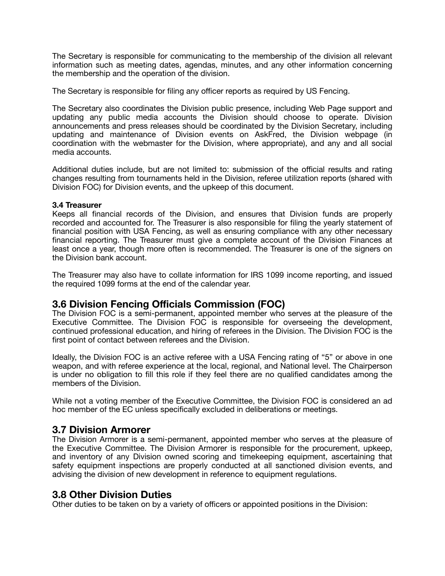The Secretary is responsible for communicating to the membership of the division all relevant information such as meeting dates, agendas, minutes, and any other information concerning the membership and the operation of the division.

The Secretary is responsible for filing any officer reports as required by US Fencing.

The Secretary also coordinates the Division public presence, including Web Page support and updating any public media accounts the Division should choose to operate. Division announcements and press releases should be coordinated by the Division Secretary, including updating and maintenance of Division events on AskFred, the Division webpage (in coordination with the webmaster for the Division, where appropriate), and any and all social media accounts.

Additional duties include, but are not limited to: submission of the official results and rating changes resulting from tournaments held in the Division, referee utilization reports (shared with Division FOC) for Division events, and the upkeep of this document.

#### **3.4 Treasurer**

Keeps all financial records of the Division, and ensures that Division funds are properly recorded and accounted for. The Treasurer is also responsible for filing the yearly statement of financial position with USA Fencing, as well as ensuring compliance with any other necessary financial reporting. The Treasurer must give a complete account of the Division Finances at least once a year, though more often is recommended. The Treasurer is one of the signers on the Division bank account.

The Treasurer may also have to collate information for IRS 1099 income reporting, and issued the required 1099 forms at the end of the calendar year.

#### **3.6 Division Fencing Officials Commission (FOC)**

The Division FOC is a semi-permanent, appointed member who serves at the pleasure of the Executive Committee. The Division FOC is responsible for overseeing the development, continued professional education, and hiring of referees in the Division. The Division FOC is the first point of contact between referees and the Division.

Ideally, the Division FOC is an active referee with a USA Fencing rating of "5" or above in one weapon, and with referee experience at the local, regional, and National level. The Chairperson is under no obligation to fill this role if they feel there are no qualified candidates among the members of the Division.

While not a voting member of the Executive Committee, the Division FOC is considered an ad hoc member of the EC unless specifically excluded in deliberations or meetings.

#### **3.7 Division Armorer**

The Division Armorer is a semi-permanent, appointed member who serves at the pleasure of the Executive Committee. The Division Armorer is responsible for the procurement, upkeep, and inventory of any Division owned scoring and timekeeping equipment, ascertaining that safety equipment inspections are properly conducted at all sanctioned division events, and advising the division of new development in reference to equipment regulations.

#### **3.8 Other Division Duties**

Other duties to be taken on by a variety of officers or appointed positions in the Division: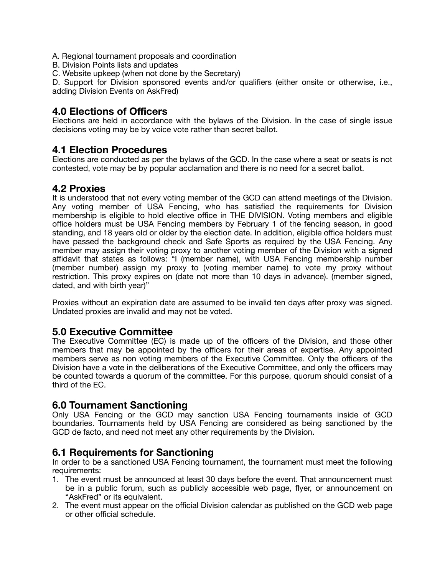- A. Regional tournament proposals and coordination
- B. Division Points lists and updates
- C. Website upkeep (when not done by the Secretary)

D. Support for Division sponsored events and/or qualifiers (either onsite or otherwise, i.e., adding Division Events on AskFred)

### **4.0 Elections of Officers**

Elections are held in accordance with the bylaws of the Division. In the case of single issue decisions voting may be by voice vote rather than secret ballot.

#### **4.1 Election Procedures**

Elections are conducted as per the bylaws of the GCD. In the case where a seat or seats is not contested, vote may be by popular acclamation and there is no need for a secret ballot.

# **4.2 Proxies**

It is understood that not every voting member of the GCD can attend meetings of the Division. Any voting member of USA Fencing, who has satisfied the requirements for Division membership is eligible to hold elective office in THE DIVISION. Voting members and eligible office holders must be USA Fencing members by February 1 of the fencing season, in good standing, and 18 years old or older by the election date. In addition, eligible office holders must have passed the background check and Safe Sports as required by the USA Fencing. Any member may assign their voting proxy to another voting member of the Division with a signed affidavit that states as follows: "I (member name), with USA Fencing membership number (member number) assign my proxy to (voting member name) to vote my proxy without restriction. This proxy expires on (date not more than 10 days in advance). (member signed, dated, and with birth year)"

Proxies without an expiration date are assumed to be invalid ten days after proxy was signed. Undated proxies are invalid and may not be voted.

#### **5.0 Executive Committee**

The Executive Committee (EC) is made up of the officers of the Division, and those other members that may be appointed by the officers for their areas of expertise. Any appointed members serve as non voting members of the Executive Committee. Only the officers of the Division have a vote in the deliberations of the Executive Committee, and only the officers may be counted towards a quorum of the committee. For this purpose, quorum should consist of a third of the EC.

# **6.0 Tournament Sanctioning**

Only USA Fencing or the GCD may sanction USA Fencing tournaments inside of GCD boundaries. Tournaments held by USA Fencing are considered as being sanctioned by the GCD de facto, and need not meet any other requirements by the Division.

# **6.1 Requirements for Sanctioning**

In order to be a sanctioned USA Fencing tournament, the tournament must meet the following requirements:

- 1. The event must be announced at least 30 days before the event. That announcement must be in a public forum, such as publicly accessible web page, flyer, or announcement on "AskFred" or its equivalent.
- 2. The event must appear on the official Division calendar as published on the GCD web page or other official schedule.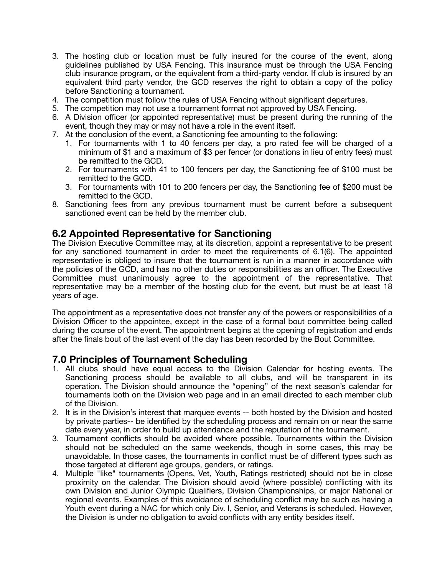- 3. The hosting club or location must be fully insured for the course of the event, along guidelines published by USA Fencing. This insurance must be through the USA Fencing club insurance program, or the equivalent from a third-party vendor. If club is insured by an equivalent third party vendor, the GCD reserves the right to obtain a copy of the policy before Sanctioning a tournament.
- 4. The competition must follow the rules of USA Fencing without significant departures.
- 5. The competition may not use a tournament format not approved by USA Fencing.
- 6. A Division officer (or appointed representative) must be present during the running of the event, though they may or may not have a role in the event itself.
- 7. At the conclusion of the event, a Sanctioning fee amounting to the following:
	- 1. For tournaments with 1 to 40 fencers per day, a pro rated fee will be charged of a minimum of \$1 and a maximum of \$3 per fencer (or donations in lieu of entry fees) must be remitted to the GCD.
	- 2. For tournaments with 41 to 100 fencers per day, the Sanctioning fee of \$100 must be remitted to the GCD.
	- 3. For tournaments with 101 to 200 fencers per day, the Sanctioning fee of \$200 must be remitted to the GCD.
- 8. Sanctioning fees from any previous tournament must be current before a subsequent sanctioned event can be held by the member club.

### **6.2 Appointed Representative for Sanctioning**

The Division Executive Committee may, at its discretion, appoint a representative to be present for any sanctioned tournament in order to meet the requirements of 6.1(6). The appointed representative is obliged to insure that the tournament is run in a manner in accordance with the policies of the GCD, and has no other duties or responsibilities as an officer. The Executive Committee must unanimously agree to the appointment of the representative. That representative may be a member of the hosting club for the event, but must be at least 18 years of age.

The appointment as a representative does not transfer any of the powers or responsibilities of a Division Officer to the appointee, except in the case of a formal bout committee being called during the course of the event. The appointment begins at the opening of registration and ends after the finals bout of the last event of the day has been recorded by the Bout Committee.

#### **7.0 Principles of Tournament Scheduling**

- 1. All clubs should have equal access to the Division Calendar for hosting events. The Sanctioning process should be available to all clubs, and will be transparent in its operation. The Division should announce the "opening" of the next season's calendar for tournaments both on the Division web page and in an email directed to each member club of the Division.
- 2. It is in the Division's interest that marquee events -- both hosted by the Division and hosted by private parties-- be identified by the scheduling process and remain on or near the same date every year, in order to build up attendance and the reputation of the tournament.
- 3. Tournament conflicts should be avoided where possible. Tournaments within the Division should not be scheduled on the same weekends, though in some cases, this may be unavoidable. In those cases, the tournaments in conflict must be of different types such as those targeted at different age groups, genders, or ratings.
- 4. Multiple "like" tournaments (Opens, Vet, Youth, Ratings restricted) should not be in close proximity on the calendar. The Division should avoid (where possible) conflicting with its own Division and Junior Olympic Qualifiers, Division Championships, or major National or regional events. Examples of this avoidance of scheduling conflict may be such as having a Youth event during a NAC for which only Div. I, Senior, and Veterans is scheduled. However, the Division is under no obligation to avoid conflicts with any entity besides itself.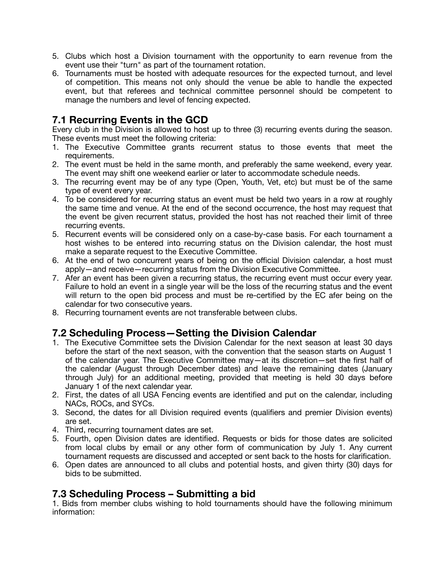- 5. Clubs which host a Division tournament with the opportunity to earn revenue from the event use their "turn" as part of the tournament rotation.
- 6. Tournaments must be hosted with adequate resources for the expected turnout, and level of competition. This means not only should the venue be able to handle the expected event, but that referees and technical committee personnel should be competent to manage the numbers and level of fencing expected.

# **7.1 Recurring Events in the GCD**

Every club in the Division is allowed to host up to three (3) recurring events during the season. These events must meet the following criteria:

- 1. The Executive Committee grants recurrent status to those events that meet the requirements.
- 2. The event must be held in the same month, and preferably the same weekend, every year. The event may shift one weekend earlier or later to accommodate schedule needs.
- 3. The recurring event may be of any type (Open, Youth, Vet, etc) but must be of the same type of event every year.
- 4. To be considered for recurring status an event must be held two years in a row at roughly the same time and venue. At the end of the second occurrence, the host may request that the event be given recurrent status, provided the host has not reached their limit of three recurring events.
- 5. Recurrent events will be considered only on a case-by-case basis. For each tournament a host wishes to be entered into recurring status on the Division calendar, the host must make a separate request to the Executive Committee.
- 6. At the end of two concurrent years of being on the official Division calendar, a host must apply—and receive—recurring status from the Division Executive Committee.
- 7. Afer an event has been given a recurring status, the recurring event must occur every year. Failure to hold an event in a single year will be the loss of the recurring status and the event will return to the open bid process and must be re-certified by the EC afer being on the calendar for two consecutive years.
- 8. Recurring tournament events are not transferable between clubs.

# **7.2 Scheduling Process—Setting the Division Calendar**

- 1. The Executive Committee sets the Division Calendar for the next season at least 30 days before the start of the next season, with the convention that the season starts on August 1 of the calendar year. The Executive Committee may—at its discretion—set the first half of the calendar (August through December dates) and leave the remaining dates (January through July) for an additional meeting, provided that meeting is held 30 days before January 1 of the next calendar year.
- 2. First, the dates of all USA Fencing events are identified and put on the calendar, including NACs, ROCs, and SYCs.
- 3. Second, the dates for all Division required events (qualifiers and premier Division events) are set.
- 4. Third, recurring tournament dates are set.
- 5. Fourth, open Division dates are identified. Requests or bids for those dates are solicited from local clubs by email or any other form of communication by July 1. Any current tournament requests are discussed and accepted or sent back to the hosts for clarification.
- 6. Open dates are announced to all clubs and potential hosts, and given thirty (30) days for bids to be submitted.

# **7.3 Scheduling Process – Submitting a bid**

1. Bids from member clubs wishing to hold tournaments should have the following minimum information: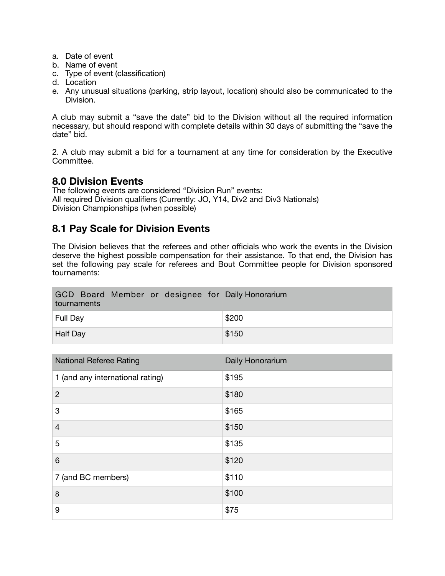- a. Date of event
- b. Name of event
- c. Type of event (classification)
- d. Location
- e. Any unusual situations (parking, strip layout, location) should also be communicated to the Division.

A club may submit a "save the date" bid to the Division without all the required information necessary, but should respond with complete details within 30 days of submitting the "save the date" bid.

2. A club may submit a bid for a tournament at any time for consideration by the Executive Committee.

#### **8.0 Division Events**

The following events are considered "Division Run" events: All required Division qualifiers (Currently: JO, Y14, Div2 and Div3 Nationals) Division Championships (when possible)

# **8.1 Pay Scale for Division Events**

The Division believes that the referees and other officials who work the events in the Division deserve the highest possible compensation for their assistance. To that end, the Division has set the following pay scale for referees and Bout Committee people for Division sponsored tournaments:

| GCD Board Member or designee for Daily Honorarium<br>tournaments |       |
|------------------------------------------------------------------|-------|
| Full Day                                                         | \$200 |
| <b>Half Day</b>                                                  | \$150 |

| <b>National Referee Rating</b>   | Daily Honorarium |
|----------------------------------|------------------|
| 1 (and any international rating) | \$195            |
| $\overline{2}$                   | \$180            |
| 3                                | \$165            |
| $\overline{4}$                   | \$150            |
| 5                                | \$135            |
| 6                                | \$120            |
| 7 (and BC members)               | \$110            |
| 8                                | \$100            |
| 9                                | \$75             |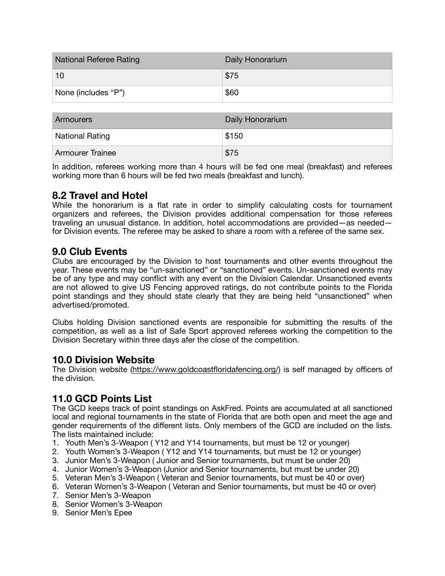| <b>National Referee Rating</b> | Daily Honorarium |
|--------------------------------|------------------|
| 10                             | \$75             |
| None (includes "P")            | \$60             |

| <b>Armourers</b>        | Daily Honorarium |
|-------------------------|------------------|
| <b>National Rating</b>  | \$150            |
| <b>Armourer Trainee</b> | \$75             |

In addition, referees working more than 4 hours will be fed one meal (breakfast) and referees working more than 6 hours will be fed two meals (breakfast and lunch).

# **8.2 Travel and Hotel**

While the honorarium is a flat rate in order to simplify calculating costs for tournament organizers and referees, the Division provides additional compensation for those referees traveling an unusual distance. In addition, hotel accommodations are provided—as needed for Division events. The referee may be asked to share a room with a referee of the same sex.

# **9.0 Club Events**

Clubs are encouraged by the Division to host tournaments and other events throughout the year. These events may be "un-sanctioned" or "sanctioned" events. Un-sanctioned events may be of any type and may conflict with any event on the Division Calendar. Unsanctioned events are not allowed to give US Fencing approved ratings, do not contribute points to the Florida point standings and they should state clearly that they are being held "unsanctioned" when advertised/promoted.

Clubs holding Division sanctioned events are responsible for submitting the results of the competition, as well as a list of Safe Sport approved referees working the competition to the Division Secretary within three days afer the close of the competition.

#### **10.0 Division Website**

The Division website [\(https://www.goldcoastfloridafencing.org/](https://www.goldcoastfloridafencing.org/)) is self managed by officers of the division.

# **11.0 GCD Points List**

The GCD keeps track of point standings on AskFred. Points are accumulated at all sanctioned local and regional tournaments in the state of Florida that are both open and meet the age and gender requirements of the different lists. Only members of the GCD are included on the lists. The lists maintained include:

- 1. Youth Men's 3-Weapon ( Y12 and Y14 tournaments, but must be 12 or younger)
- 2. Youth Women's 3-Weapon ( Y12 and Y14 tournaments, but must be 12 or younger)
- 3. Junior Men's 3-Weapon ( Junior and Senior tournaments, but must be under 20)
- 4. Junior Women's 3-Weapon (Junior and Senior tournaments, but must be under 20)
- 5. Veteran Men's 3-Weapon ( Veteran and Senior tournaments, but must be 40 or over)
- 6. Veteran Women's 3-Weapon ( Veteran and Senior tournaments, but must be 40 or over)
- 7. Senior Men's 3-Weapon
- 8. Senior Women's 3-Weapon
- 9. Senior Men's Epee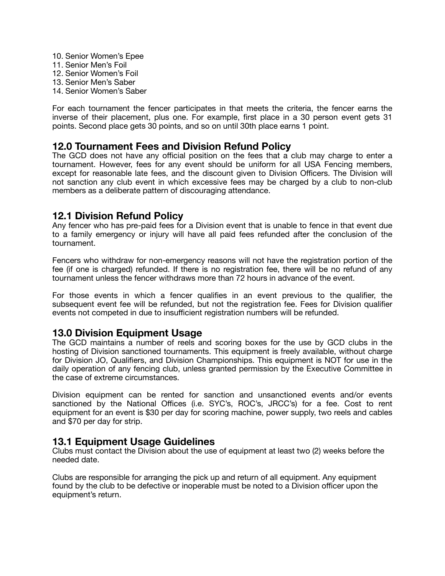- 10. Senior Women's Epee
- 11. Senior Men's Foil
- 12. Senior Women's Foil
- 13. Senior Men's Saber
- 14. Senior Women's Saber

For each tournament the fencer participates in that meets the criteria, the fencer earns the inverse of their placement, plus one. For example, first place in a 30 person event gets 31 points. Second place gets 30 points, and so on until 30th place earns 1 point.

#### **12.0 Tournament Fees and Division Refund Policy**

The GCD does not have any official position on the fees that a club may charge to enter a tournament. However, fees for any event should be uniform for all USA Fencing members, except for reasonable late fees, and the discount given to Division Officers. The Division will not sanction any club event in which excessive fees may be charged by a club to non-club members as a deliberate pattern of discouraging attendance.

#### **12.1 Division Refund Policy**

Any fencer who has pre-paid fees for a Division event that is unable to fence in that event due to a family emergency or injury will have all paid fees refunded after the conclusion of the tournament.

Fencers who withdraw for non-emergency reasons will not have the registration portion of the fee (if one is charged) refunded. If there is no registration fee, there will be no refund of any tournament unless the fencer withdraws more than 72 hours in advance of the event.

For those events in which a fencer qualifies in an event previous to the qualifier, the subsequent event fee will be refunded, but not the registration fee. Fees for Division qualifier events not competed in due to insufficient registration numbers will be refunded.

#### **13.0 Division Equipment Usage**

The GCD maintains a number of reels and scoring boxes for the use by GCD clubs in the hosting of Division sanctioned tournaments. This equipment is freely available, without charge for Division JO, Qualifiers, and Division Championships. This equipment is NOT for use in the daily operation of any fencing club, unless granted permission by the Executive Committee in the case of extreme circumstances.

Division equipment can be rented for sanction and unsanctioned events and/or events sanctioned by the National Offices (i.e. SYC's, ROC's, JRCC's) for a fee. Cost to rent equipment for an event is \$30 per day for scoring machine, power supply, two reels and cables and \$70 per day for strip.

#### **13.1 Equipment Usage Guidelines**

Clubs must contact the Division about the use of equipment at least two (2) weeks before the needed date.

Clubs are responsible for arranging the pick up and return of all equipment. Any equipment found by the club to be defective or inoperable must be noted to a Division officer upon the equipment's return.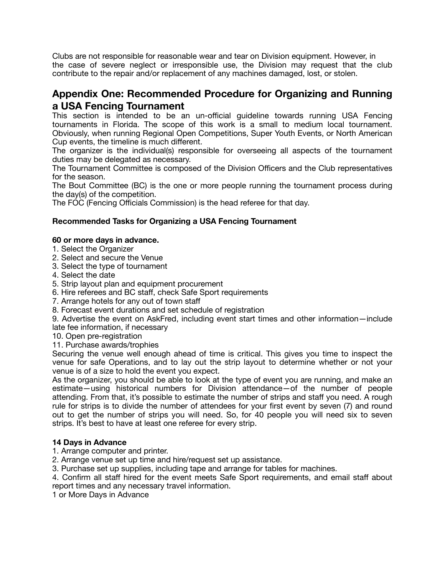Clubs are not responsible for reasonable wear and tear on Division equipment. However, in the case of severe neglect or irresponsible use, the Division may request that the club contribute to the repair and/or replacement of any machines damaged, lost, or stolen.

### **Appendix One: Recommended Procedure for Organizing and Running a USA Fencing Tournament**

This section is intended to be an un-official guideline towards running USA Fencing tournaments in Florida. The scope of this work is a small to medium local tournament. Obviously, when running Regional Open Competitions, Super Youth Events, or North American Cup events, the timeline is much different.

The organizer is the individual(s) responsible for overseeing all aspects of the tournament duties may be delegated as necessary.

The Tournament Committee is composed of the Division Officers and the Club representatives for the season.

The Bout Committee (BC) is the one or more people running the tournament process during the day(s) of the competition.

The FOC (Fencing Officials Commission) is the head referee for that day.

#### **Recommended Tasks for Organizing a USA Fencing Tournament**

#### **60 or more days in advance.**

- 1. Select the Organizer
- 2. Select and secure the Venue
- 3. Select the type of tournament
- 4. Select the date
- 5. Strip layout plan and equipment procurement
- 6. Hire referees and BC staff, check Safe Sport requirements
- 7. Arrange hotels for any out of town staff
- 8. Forecast event durations and set schedule of registration

9. Advertise the event on AskFred, including event start times and other information—include late fee information, if necessary

10. Open pre-registration

11. Purchase awards/trophies

Securing the venue well enough ahead of time is critical. This gives you time to inspect the venue for safe Operations, and to lay out the strip layout to determine whether or not your venue is of a size to hold the event you expect.

As the organizer, you should be able to look at the type of event you are running, and make an estimate—using historical numbers for Division attendance—of the number of people attending. From that, it's possible to estimate the number of strips and staff you need. A rough rule for strips is to divide the number of attendees for your first event by seven (7) and round out to get the number of strips you will need. So, for 40 people you will need six to seven strips. It's best to have at least one referee for every strip.

#### **14 Days in Advance**

- 1. Arrange computer and printer.
- 2. Arrange venue set up time and hire/request set up assistance.
- 3. Purchase set up supplies, including tape and arrange for tables for machines.

4. Confirm all staff hired for the event meets Safe Sport requirements, and email staff about report times and any necessary travel information.

1 or More Days in Advance